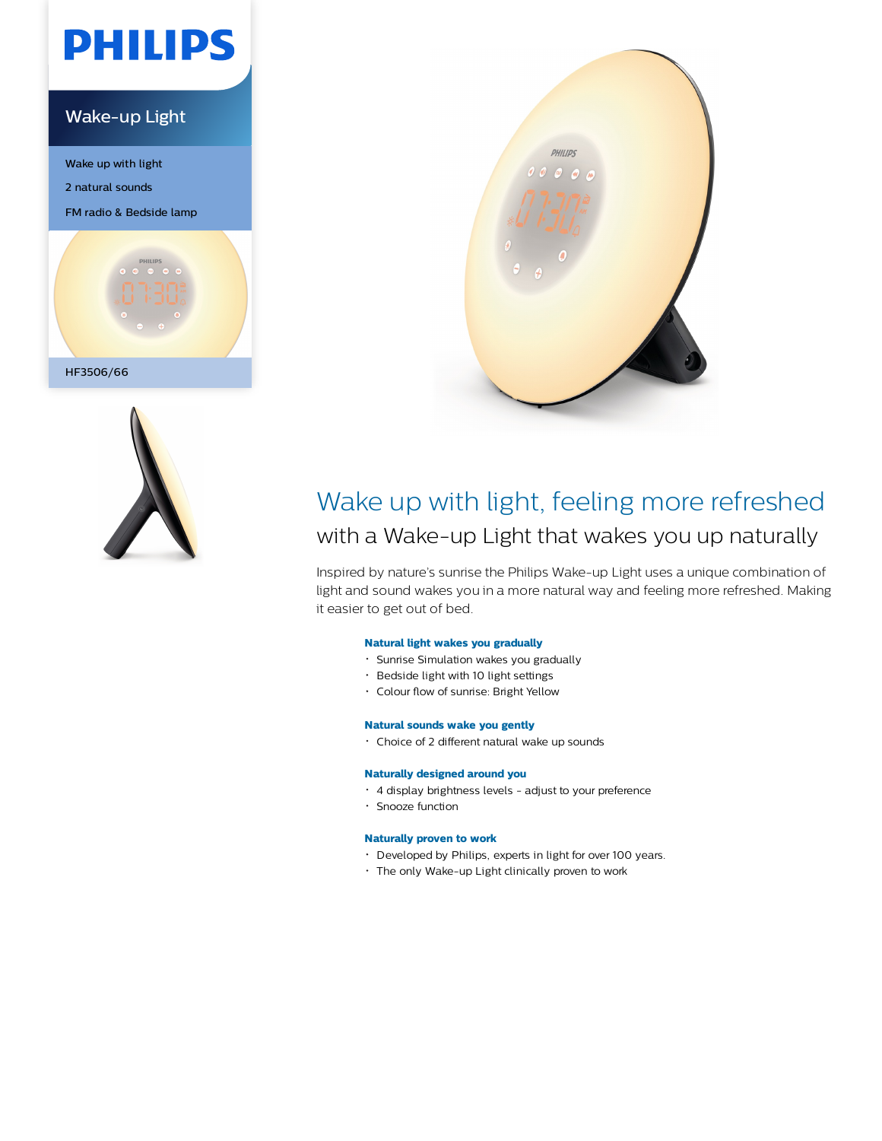

### Wake-up Light

Wake up with light

2 natural sounds

FM radio & Bedside lamp







## Wake up with light, feeling more refreshed with a Wake-up Light that wakes you up naturally

Inspired by nature's sunrise the Philips Wake-up Light uses a unique combination of light and sound wakes you in a more natural way and feeling more refreshed. Making it easier to get out of bed.

#### **Natural light wakes you gradually**

- Sunrise Simulation wakes you gradually
- Bedside light with 10 light settings
- Colour flow of sunrise: Bright Yellow

#### **Natural sounds wake you gently**

Choice of 2 different natural wake up sounds

#### **Naturally designed around you**

- 4 display brightness levels adjust to your preference
- Snooze function

#### **Naturally proven to work**

- Developed by Philips, experts in light for over 100 years.
- The only Wake-up Light clinically proven to work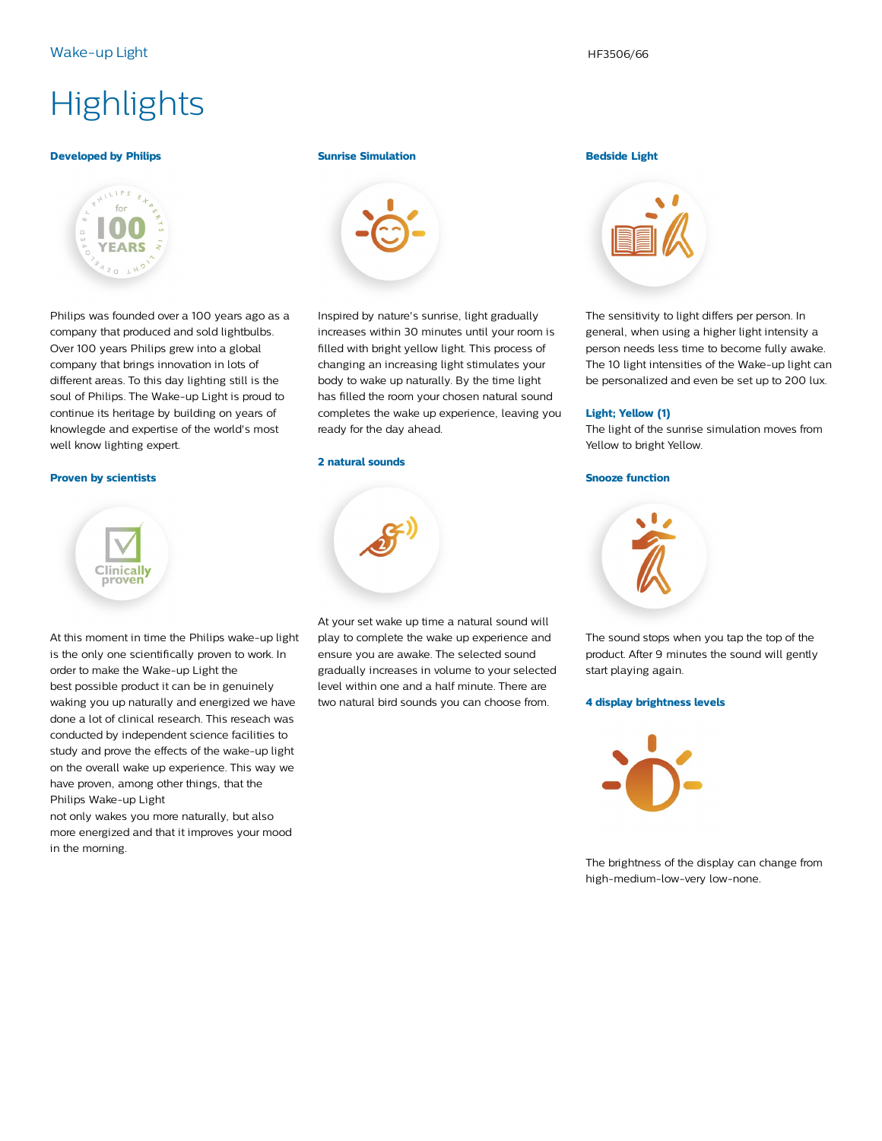# **Highlights**

#### **Developed by Philips**



Philips was founded over a 100 years ago as a company that produced and sold lightbulbs. Over 100 years Philips grew into a global company that brings innovation in lots of different areas. To this day lighting still is the soul of Philips. The Wake-up Light is proud to continue its heritage by building on years of knowlegde and expertise of the world's most well know lighting expert.

#### **Proven by scientists**



At this moment in time the Philips wake-up light is the only one scientifically proven to work. In order to make the Wake-up Light the best possible product it can be in genuinely waking you up naturally and energized we have done a lot of clinical research. This reseach was conducted by independent science facilities to study and prove the effects of the wake-up light on the overall wake up experience. This way we have proven, among other things, that the Philips Wake-up Light

not only wakes you more naturally, but also more energized and that it improves your mood in the morning.

#### **Sunrise Simulation**



Inspired by nature's sunrise, light gradually increases within 30 minutes until your room is filled with bright yellow light. This process of changing an increasing light stimulates your body to wake up naturally. By the time light has filled the room your chosen natural sound completes the wake up experience, leaving you ready for the day ahead.

#### **2 natural sounds**



At your set wake up time a natural sound will play to complete the wake up experience and ensure you are awake. The selected sound gradually increases in volume to your selected level within one and a half minute. There are two natural bird sounds you can choose from.

#### **Bedside Light**



The sensitivity to light differs per person. In general, when using a higher light intensity a person needs less time to become fully awake. The 10 light intensities of the Wake-up light can be personalized and even be set up to 200 lux.

#### **Light; Yellow (1)**

The light of the sunrise simulation moves from Yellow to bright Yellow.

#### **Snooze function**



The sound stops when you tap the top of the product. After 9 minutes the sound will gently start playing again.

#### **4 display brightness levels**



The brightness of the display can change from high-medium-low-very low-none.